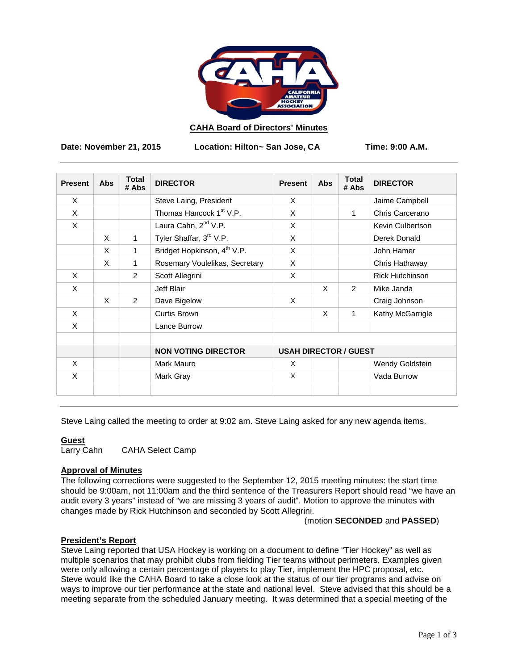

## **CAHA Board of Directors' Minutes**

**Date: November 21, 2015 Location: Hilton~ San Jose, CA Time: 9:00 A.M.**

| <b>Present</b> | <b>Abs</b> | <b>Total</b><br># Abs | <b>DIRECTOR</b>                         | <b>Present</b>               | Abs | <b>Total</b><br># Abs | <b>DIRECTOR</b>        |
|----------------|------------|-----------------------|-----------------------------------------|------------------------------|-----|-----------------------|------------------------|
| $\times$       |            |                       | Steve Laing, President                  | X                            |     |                       | Jaime Campbell         |
| X              |            |                       | Thomas Hancock 1 <sup>st</sup> V.P.     | X                            |     | $\mathbf{1}$          | Chris Carcerano        |
| X              |            |                       | Laura Cahn, 2 <sup>nd</sup> V.P.        | X                            |     |                       | Kevin Culbertson       |
|                | X          | $\mathbf{1}$          | Tyler Shaffar, 3rd V.P.                 | X                            |     |                       | Derek Donald           |
|                | X          | 1                     | Bridget Hopkinson, 4 <sup>th</sup> V.P. | X                            |     |                       | John Hamer             |
|                | X          | 1                     | Rosemary Voulelikas, Secretary          | X                            |     |                       | Chris Hathaway         |
| X              |            | 2                     | Scott Allegrini                         | X                            |     |                       | <b>Rick Hutchinson</b> |
| X              |            |                       | Jeff Blair                              |                              | X   | $\mathcal{P}$         | Mike Janda             |
|                | $\times$   | 2                     | Dave Bigelow                            | X                            |     |                       | Craig Johnson          |
| $\times$       |            |                       | Curtis Brown                            |                              | X   | $\mathbf{1}$          | Kathy McGarrigle       |
| X              |            |                       | Lance Burrow                            |                              |     |                       |                        |
|                |            |                       | <b>NON VOTING DIRECTOR</b>              | <b>USAH DIRECTOR / GUEST</b> |     |                       |                        |
| $\times$       |            |                       | Mark Mauro                              | X                            |     |                       | Wendy Goldstein        |
| X              |            |                       | Mark Gray                               | X                            |     |                       | Vada Burrow            |
|                |            |                       |                                         |                              |     |                       |                        |

Steve Laing called the meeting to order at 9:02 am. Steve Laing asked for any new agenda items.

## **Guest**

Larry Cahn CAHA Select Camp

# **Approval of Minutes**

The following corrections were suggested to the September 12, 2015 meeting minutes: the start time should be 9:00am, not 11:00am and the third sentence of the Treasurers Report should read "we have an audit every 3 years" instead of "we are missing 3 years of audit". Motion to approve the minutes with changes made by Rick Hutchinson and seconded by Scott Allegrini.

### (motion **SECONDED** and **PASSED**)

## **President's Report**

Steve Laing reported that USA Hockey is working on a document to define "Tier Hockey" as well as multiple scenarios that may prohibit clubs from fielding Tier teams without perimeters. Examples given were only allowing a certain percentage of players to play Tier, implement the HPC proposal, etc. Steve would like the CAHA Board to take a close look at the status of our tier programs and advise on ways to improve our tier performance at the state and national level. Steve advised that this should be a meeting separate from the scheduled January meeting. It was determined that a special meeting of the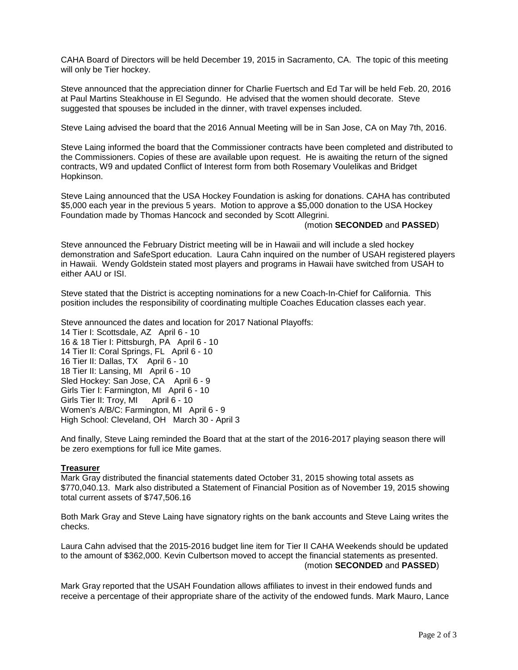CAHA Board of Directors will be held December 19, 2015 in Sacramento, CA. The topic of this meeting will only be Tier hockey.

Steve announced that the appreciation dinner for Charlie Fuertsch and Ed Tar will be held Feb. 20, 2016 at Paul Martins Steakhouse in El Segundo. He advised that the women should decorate. Steve suggested that spouses be included in the dinner, with travel expenses included.

Steve Laing advised the board that the 2016 Annual Meeting will be in San Jose, CA on May 7th, 2016.

Steve Laing informed the board that the Commissioner contracts have been completed and distributed to the Commissioners. Copies of these are available upon request. He is awaiting the return of the signed contracts, W9 and updated Conflict of Interest form from both Rosemary Voulelikas and Bridget Hopkinson.

Steve Laing announced that the USA Hockey Foundation is asking for donations. CAHA has contributed \$5,000 each year in the previous 5 years. Motion to approve a \$5,000 donation to the USA Hockey Foundation made by Thomas Hancock and seconded by Scott Allegrini.

### (motion **SECONDED** and **PASSED**)

Steve announced the February District meeting will be in Hawaii and will include a sled hockey demonstration and SafeSport education. Laura Cahn inquired on the number of USAH registered players in Hawaii. Wendy Goldstein stated most players and programs in Hawaii have switched from USAH to either AAU or ISI.

Steve stated that the District is accepting nominations for a new Coach-In-Chief for California. This position includes the responsibility of coordinating multiple Coaches Education classes each year.

Steve announced the dates and location for 2017 National Playoffs: 14 Tier I: Scottsdale, AZ April 6 - 10 16 & 18 Tier I: Pittsburgh, PA April 6 - 10 14 Tier II: Coral Springs, FL April 6 - 10 16 Tier II: Dallas, TX April 6 - 10 18 Tier II: Lansing, MI April 6 - 10 Sled Hockey: San Jose, CA April 6 - 9 Girls Tier I: Farmington, MI April 6 - 10 Girls Tier II: Troy, MI April 6 - 10 Women's A/B/C: Farmington, MI April 6 - 9 High School: Cleveland, OH March 30 - April 3

And finally, Steve Laing reminded the Board that at the start of the 2016-2017 playing season there will be zero exemptions for full ice Mite games.

### **Treasurer**

Mark Gray distributed the financial statements dated October 31, 2015 showing total assets as \$770,040.13. Mark also distributed a Statement of Financial Position as of November 19, 2015 showing total current assets of \$747,506.16

Both Mark Gray and Steve Laing have signatory rights on the bank accounts and Steve Laing writes the checks.

Laura Cahn advised that the 2015-2016 budget line item for Tier II CAHA Weekends should be updated to the amount of \$362,000. Kevin Culbertson moved to accept the financial statements as presented. (motion **SECONDED** and **PASSED**)

Mark Gray reported that the USAH Foundation allows affiliates to invest in their endowed funds and receive a percentage of their appropriate share of the activity of the endowed funds. Mark Mauro, Lance